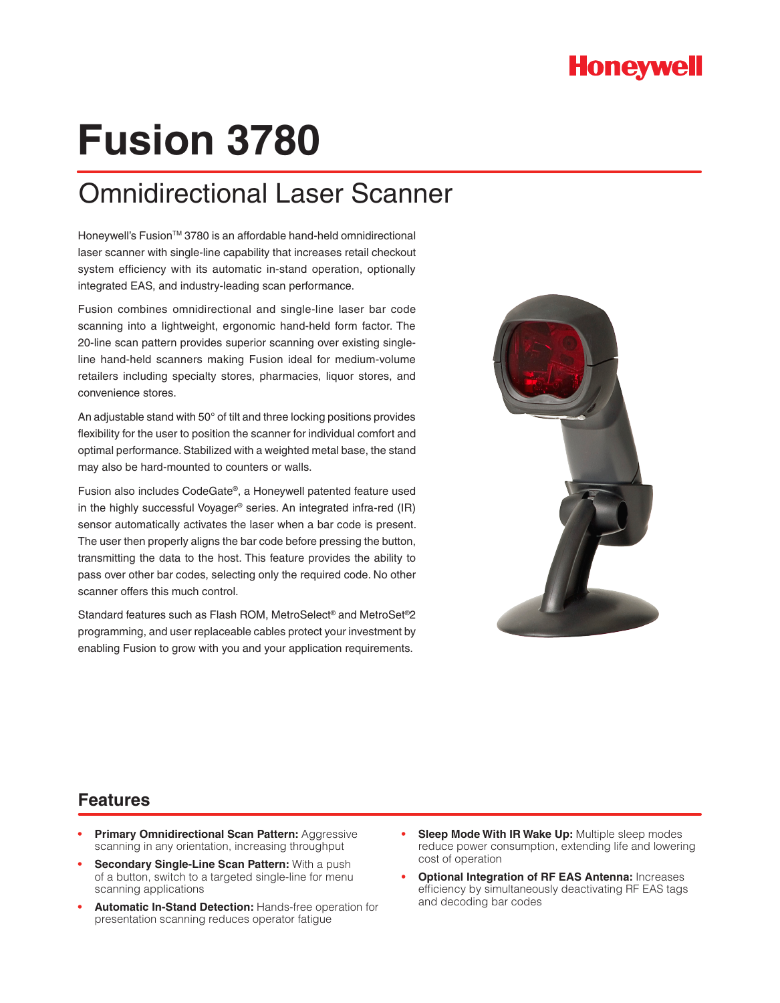

# **Fusion 3780**

## Omnidirectional Laser Scanner

Honeywell's Fusion™ 3780 is an affordable hand-held omnidirectional laser scanner with single-line capability that increases retail checkout system efficiency with its automatic in-stand operation, optionally integrated EAS, and industry-leading scan performance.

Fusion combines omnidirectional and single-line laser bar code scanning into a lightweight, ergonomic hand-held form factor. The 20-line scan pattern provides superior scanning over existing singleline hand-held scanners making Fusion ideal for medium-volume retailers including specialty stores, pharmacies, liquor stores, and convenience stores.

An adjustable stand with 50° of tilt and three locking positions provides flexibility for the user to position the scanner for individual comfort and optimal performance. Stabilized with a weighted metal base, the stand may also be hard-mounted to counters or walls.

Fusion also includes CodeGate®, a Honeywell patented feature used in the highly successful Voyager® series. An integrated infra-red (IR) sensor automatically activates the laser when a bar code is present. The user then properly aligns the bar code before pressing the button, transmitting the data to the host. This feature provides the ability to pass over other bar codes, selecting only the required code. No other scanner offers this much control.

Standard features such as Flash ROM, MetroSelect® and MetroSet®2 programming, and user replaceable cables protect your investment by enabling Fusion to grow with you and your application requirements.



### **Features**

- **Primary Omnidirectional Scan Pattern: Aggressive** scanning in any orientation, increasing throughput
- **Secondary Single-Line Scan Pattern:** With a push of a button, switch to a targeted single-line for menu scanning applications
- **Automatic In-Stand Detection: Hands-free operation for** presentation scanning reduces operator fatigue
- **Sleep Mode With IR Wake Up: Multiple sleep modes** reduce power consumption, extending life and lowering cost of operation
- **Optional Integration of RF EAS Antenna: Increases** efficiency by simultaneously deactivating RF EAS tags and decoding bar codes